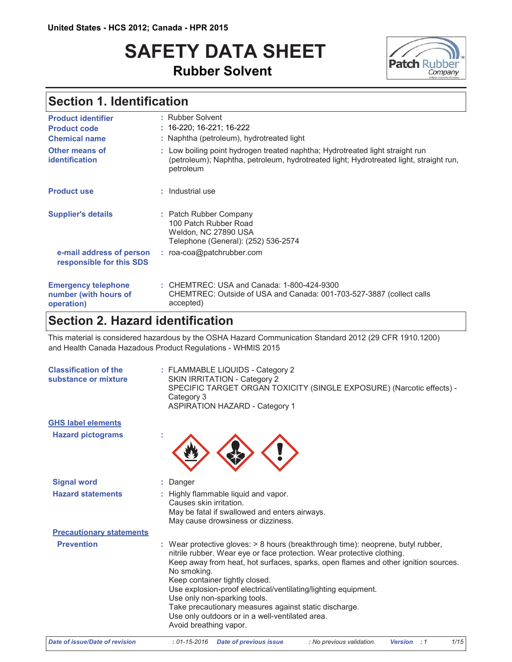# **SAFETY DATA SHEET Rubber Solvent**



## Section 1. Identification

| <b>Product identifier</b><br><b>Product code</b><br><b>Chemical name</b> | : Rubber Solvent<br>$: 16 - 220, 16 - 221, 16 - 222$<br>: Naphtha (petroleum), hydrotreated light                                                                                    |
|--------------------------------------------------------------------------|--------------------------------------------------------------------------------------------------------------------------------------------------------------------------------------|
| Other means of<br><b>identification</b>                                  | : Low boiling point hydrogen treated naphtha; Hydrotreated light straight run<br>(petroleum); Naphtha, petroleum, hydrotreated light; Hydrotreated light, straight run,<br>petroleum |
| <b>Product use</b>                                                       | : Industrial use                                                                                                                                                                     |
| <b>Supplier's details</b>                                                | : Patch Rubber Company<br>100 Patch Rubber Road<br>Weldon, NC 27890 USA<br>Telephone (General): (252) 536-2574                                                                       |
| e-mail address of person<br>responsible for this SDS                     | : roa-coa@patchrubber.com                                                                                                                                                            |
| <b>Emergency telephone</b><br>number (with hours of<br>operation)        | : CHEMTREC: USA and Canada: 1-800-424-9300<br>CHEMTREC: Outside of USA and Canada: 001-703-527-3887 (collect calls<br>accepted)                                                      |

### **Section 2. Hazard identification**

This material is considered hazardous by the OSHA Hazard Communication Standard 2012 (29 CFR 1910.1200) and Health Canada Hazadous Product Regulations - WHMIS 2015

| <b>Classification of the</b><br>substance or mixture | : FLAMMABLE LIQUIDS - Category 2<br>SKIN IRRITATION - Category 2<br>SPECIFIC TARGET ORGAN TOXICITY (SINGLE EXPOSURE) (Narcotic effects) -<br>Category 3<br><b>ASPIRATION HAZARD - Category 1</b>                                                                                                                                                                                                                                                                                                                                          |  |  |  |
|------------------------------------------------------|-------------------------------------------------------------------------------------------------------------------------------------------------------------------------------------------------------------------------------------------------------------------------------------------------------------------------------------------------------------------------------------------------------------------------------------------------------------------------------------------------------------------------------------------|--|--|--|
| <b>GHS label elements</b>                            |                                                                                                                                                                                                                                                                                                                                                                                                                                                                                                                                           |  |  |  |
| <b>Hazard pictograms</b>                             |                                                                                                                                                                                                                                                                                                                                                                                                                                                                                                                                           |  |  |  |
| <b>Signal word</b>                                   | Danger                                                                                                                                                                                                                                                                                                                                                                                                                                                                                                                                    |  |  |  |
| <b>Hazard statements</b>                             | Highly flammable liquid and vapor.<br>Causes skin irritation.<br>May be fatal if swallowed and enters airways.<br>May cause drowsiness or dizziness.                                                                                                                                                                                                                                                                                                                                                                                      |  |  |  |
| <b>Precautionary statements</b>                      |                                                                                                                                                                                                                                                                                                                                                                                                                                                                                                                                           |  |  |  |
| <b>Prevention</b>                                    | : Wear protective gloves: > 8 hours (breakthrough time): neoprene, butyl rubber,<br>nitrile rubber. Wear eye or face protection. Wear protective clothing.<br>Keep away from heat, hot surfaces, sparks, open flames and other ignition sources.<br>No smoking.<br>Keep container tightly closed.<br>Use explosion-proof electrical/ventilating/lighting equipment.<br>Use only non-sparking tools.<br>Take precautionary measures against static discharge.<br>Use only outdoors or in a well-ventilated area.<br>Avoid breathing vapor. |  |  |  |
| Date of issue/Date of revision                       | 1/15<br>$: 01 - 15 - 2016$<br><b>Date of previous issue</b><br>: No previous validation.<br><b>Version</b><br>$\therefore$ 1                                                                                                                                                                                                                                                                                                                                                                                                              |  |  |  |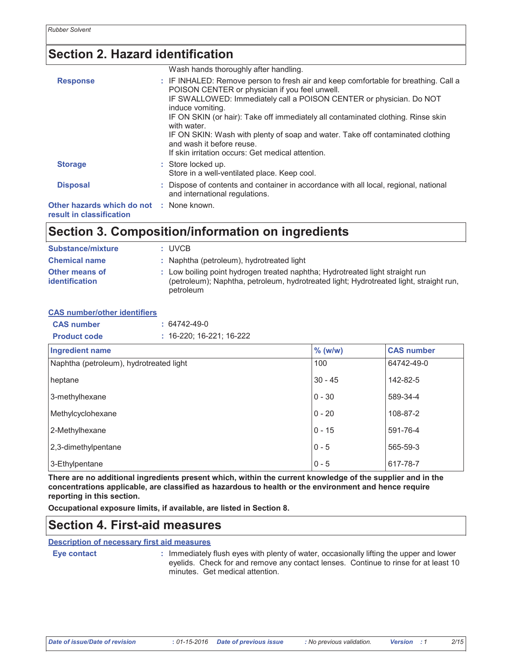## **Section 2. Hazard identification**

|                                                                      | Wash hands thoroughly after handling.                                                                                                                                                                                                                                                                                                                                                                                                                                                                   |
|----------------------------------------------------------------------|---------------------------------------------------------------------------------------------------------------------------------------------------------------------------------------------------------------------------------------------------------------------------------------------------------------------------------------------------------------------------------------------------------------------------------------------------------------------------------------------------------|
| <b>Response</b>                                                      | : IF INHALED: Remove person to fresh air and keep comfortable for breathing. Call a<br>POISON CENTER or physician if you feel unwell.<br>IF SWALLOWED: Immediately call a POISON CENTER or physician. Do NOT<br>induce vomiting.<br>IF ON SKIN (or hair): Take off immediately all contaminated clothing. Rinse skin<br>with water.<br>IF ON SKIN: Wash with plenty of soap and water. Take off contaminated clothing<br>and wash it before reuse.<br>If skin irritation occurs: Get medical attention. |
| <b>Storage</b>                                                       | : Store locked up.<br>Store in a well-ventilated place. Keep cool.                                                                                                                                                                                                                                                                                                                                                                                                                                      |
| <b>Disposal</b>                                                      | : Dispose of contents and container in accordance with all local, regional, national<br>and international regulations.                                                                                                                                                                                                                                                                                                                                                                                  |
| Other hazards which do not : None known.<br>result in classification |                                                                                                                                                                                                                                                                                                                                                                                                                                                                                                         |

### Section 3. Composition/information on ingredients

| Substance/mixture                              | : UVCB                                                                                                                                                                               |
|------------------------------------------------|--------------------------------------------------------------------------------------------------------------------------------------------------------------------------------------|
| <b>Chemical name</b>                           | : Naphtha (petroleum), hydrotreated light                                                                                                                                            |
| <b>Other means of</b><br><b>identification</b> | : Low boiling point hydrogen treated naphtha; Hydrotreated light straight run<br>(petroleum); Naphtha, petroleum, hydrotreated light; Hydrotreated light, straight run,<br>petroleum |

| <b>CAS number/other identifiers</b> |                    |                                  |
|-------------------------------------|--------------------|----------------------------------|
| <b>CAS</b> number                   | $: 64742 - 49 - 0$ |                                  |
| <b>Product code</b>                 |                    | $: 16 - 220: 16 - 221: 16 - 222$ |

| <b>Ingredient name</b>                  | $%$ (w/w)  | <b>CAS number</b> |
|-----------------------------------------|------------|-------------------|
| Naphtha (petroleum), hydrotreated light | 100        | 64742-49-0        |
| heptane                                 | $30 - 45$  | 142-82-5          |
| 3-methylhexane                          | $0 - 30$   | 589-34-4          |
| Methylcyclohexane                       | $0 - 20$   | 108-87-2          |
| 2-Methylhexane                          | $ 0 - 15 $ | 591-76-4          |
| 2,3-dimethylpentane                     | $0 - 5$    | 565-59-3          |
| 3-Ethylpentane                          | $0 - 5$    | 617-78-7          |

There are no additional ingredients present which, within the current knowledge of the supplier and in the concentrations applicable, are classified as hazardous to health or the environment and hence require reporting in this section.

Occupational exposure limits, if available, are listed in Section 8.

## **Section 4. First-aid measures**

**Description of necessary first aid measures** 

Eye contact

Immediately flush eyes with plenty of water, occasionally lifting the upper and lower eyelids. Check for and remove any contact lenses. Continue to rinse for at least 10 minutes. Get medical attention.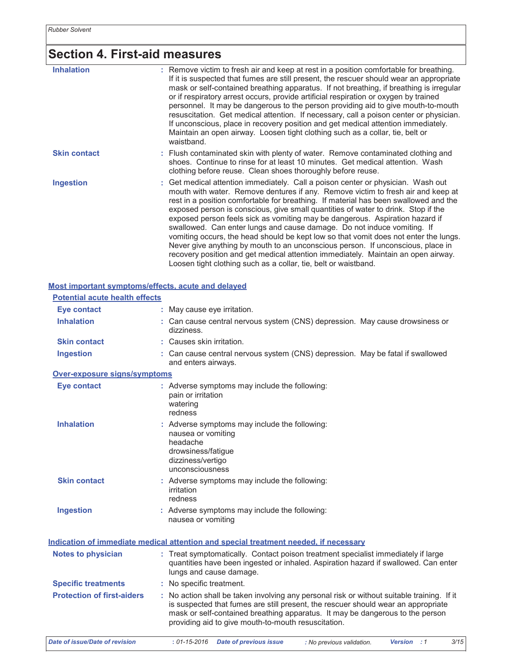# Section 4. First-aid measures

| <b>Inhalation</b>   | : Remove victim to fresh air and keep at rest in a position comfortable for breathing.<br>If it is suspected that fumes are still present, the rescuer should wear an appropriate<br>mask or self-contained breathing apparatus. If not breathing, if breathing is irregular<br>or if respiratory arrest occurs, provide artificial respiration or oxygen by trained<br>personnel. It may be dangerous to the person providing aid to give mouth-to-mouth<br>resuscitation. Get medical attention. If necessary, call a poison center or physician.<br>If unconscious, place in recovery position and get medical attention immediately.<br>Maintain an open airway. Loosen tight clothing such as a collar, tie, belt or<br>waistband.                                                                                                         |
|---------------------|-------------------------------------------------------------------------------------------------------------------------------------------------------------------------------------------------------------------------------------------------------------------------------------------------------------------------------------------------------------------------------------------------------------------------------------------------------------------------------------------------------------------------------------------------------------------------------------------------------------------------------------------------------------------------------------------------------------------------------------------------------------------------------------------------------------------------------------------------|
| <b>Skin contact</b> | : Flush contaminated skin with plenty of water. Remove contaminated clothing and<br>shoes. Continue to rinse for at least 10 minutes. Get medical attention. Wash<br>clothing before reuse. Clean shoes thoroughly before reuse.                                                                                                                                                                                                                                                                                                                                                                                                                                                                                                                                                                                                                |
| <b>Ingestion</b>    | : Get medical attention immediately. Call a poison center or physician. Wash out<br>mouth with water. Remove dentures if any. Remove victim to fresh air and keep at<br>rest in a position comfortable for breathing. If material has been swallowed and the<br>exposed person is conscious, give small quantities of water to drink. Stop if the<br>exposed person feels sick as vomiting may be dangerous. Aspiration hazard if<br>swallowed. Can enter lungs and cause damage. Do not induce vomiting. If<br>vomiting occurs, the head should be kept low so that vomit does not enter the lungs.<br>Never give anything by mouth to an unconscious person. If unconscious, place in<br>recovery position and get medical attention immediately. Maintain an open airway.<br>Loosen tight clothing such as a collar, tie, belt or waistband. |

#### Most important symptoms/effects, acute and delayed

| <b>Potential acute health effects</b> |                                                                                                                                                                                                                                                                                                                         |  |  |  |  |
|---------------------------------------|-------------------------------------------------------------------------------------------------------------------------------------------------------------------------------------------------------------------------------------------------------------------------------------------------------------------------|--|--|--|--|
| <b>Eye contact</b>                    | : May cause eye irritation.                                                                                                                                                                                                                                                                                             |  |  |  |  |
| <b>Inhalation</b>                     | : Can cause central nervous system (CNS) depression. May cause drowsiness or<br>dizziness.                                                                                                                                                                                                                              |  |  |  |  |
| <b>Skin contact</b>                   | : Causes skin irritation.                                                                                                                                                                                                                                                                                               |  |  |  |  |
| <b>Ingestion</b>                      | : Can cause central nervous system (CNS) depression. May be fatal if swallowed<br>and enters airways.                                                                                                                                                                                                                   |  |  |  |  |
| Over-exposure signs/symptoms          |                                                                                                                                                                                                                                                                                                                         |  |  |  |  |
| <b>Eye contact</b>                    | : Adverse symptoms may include the following:<br>pain or irritation<br>watering<br>redness                                                                                                                                                                                                                              |  |  |  |  |
| <b>Inhalation</b>                     | : Adverse symptoms may include the following:<br>nausea or vomiting<br>headache<br>drowsiness/fatigue<br>dizziness/vertigo<br>unconsciousness                                                                                                                                                                           |  |  |  |  |
| <b>Skin contact</b>                   | : Adverse symptoms may include the following:<br>irritation<br>redness                                                                                                                                                                                                                                                  |  |  |  |  |
| <b>Ingestion</b>                      | : Adverse symptoms may include the following:<br>nausea or vomiting                                                                                                                                                                                                                                                     |  |  |  |  |
|                                       | Indication of immediate medical attention and special treatment needed, if necessary                                                                                                                                                                                                                                    |  |  |  |  |
| <b>Notes to physician</b>             | : Treat symptomatically. Contact poison treatment specialist immediately if large<br>quantities have been ingested or inhaled. Aspiration hazard if swallowed. Can enter<br>lungs and cause damage.                                                                                                                     |  |  |  |  |
| <b>Specific treatments</b>            | : No specific treatment.                                                                                                                                                                                                                                                                                                |  |  |  |  |
| <b>Protection of first-aiders</b>     | : No action shall be taken involving any personal risk or without suitable training. If it<br>is suspected that fumes are still present, the rescuer should wear an appropriate<br>mask or self-contained breathing apparatus. It may be dangerous to the person<br>providing aid to give mouth-to-mouth resuscitation. |  |  |  |  |
| <b>Date of issue/Date of revision</b> | 3/15<br>$: 01 - 15 - 2016$<br><b>Date of previous issue</b><br>: No previous validation.<br>Version : 1                                                                                                                                                                                                                 |  |  |  |  |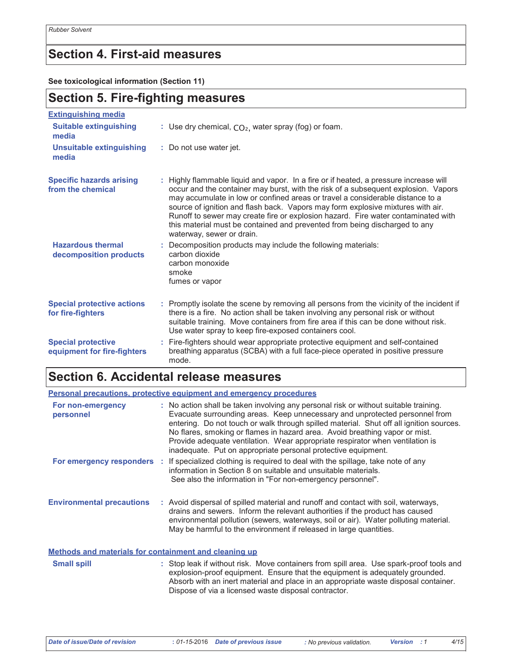### **Section 4. First-aid measures**

See toxicological information (Section 11)

## **Section 5. Fire-fighting measures**

| <b>Extinguishing media</b>                               |                                                                                                                                                                                                                                                                                                                                                                                                                                                                                                                                                  |
|----------------------------------------------------------|--------------------------------------------------------------------------------------------------------------------------------------------------------------------------------------------------------------------------------------------------------------------------------------------------------------------------------------------------------------------------------------------------------------------------------------------------------------------------------------------------------------------------------------------------|
| <b>Suitable extinguishing</b><br>media                   | : Use dry chemical, $CO2$ , water spray (fog) or foam.                                                                                                                                                                                                                                                                                                                                                                                                                                                                                           |
| <b>Unsuitable extinguishing</b><br>media                 | : Do not use water jet.                                                                                                                                                                                                                                                                                                                                                                                                                                                                                                                          |
| <b>Specific hazards arising</b><br>from the chemical     | : Highly flammable liquid and vapor. In a fire or if heated, a pressure increase will<br>occur and the container may burst, with the risk of a subsequent explosion. Vapors<br>may accumulate in low or confined areas or travel a considerable distance to a<br>source of ignition and flash back. Vapors may form explosive mixtures with air.<br>Runoff to sewer may create fire or explosion hazard. Fire water contaminated with<br>this material must be contained and prevented from being discharged to any<br>waterway, sewer or drain. |
| <b>Hazardous thermal</b><br>decomposition products       | : Decomposition products may include the following materials:<br>carbon dioxide<br>carbon monoxide<br>smoke<br>fumes or vapor                                                                                                                                                                                                                                                                                                                                                                                                                    |
| <b>Special protective actions</b><br>for fire-fighters   | : Promptly isolate the scene by removing all persons from the vicinity of the incident if<br>there is a fire. No action shall be taken involving any personal risk or without<br>suitable training. Move containers from fire area if this can be done without risk.<br>Use water spray to keep fire-exposed containers cool.                                                                                                                                                                                                                    |
| <b>Special protective</b><br>equipment for fire-fighters | : Fire-fighters should wear appropriate protective equipment and self-contained<br>breathing apparatus (SCBA) with a full face-piece operated in positive pressure<br>mode                                                                                                                                                                                                                                                                                                                                                                       |

## Section 6. Accidental release measures

|                                                              | <b>Personal precautions, protective equipment and emergency procedures</b>                                                                                                                                                                                                                                                                                                                                                                                                                      |
|--------------------------------------------------------------|-------------------------------------------------------------------------------------------------------------------------------------------------------------------------------------------------------------------------------------------------------------------------------------------------------------------------------------------------------------------------------------------------------------------------------------------------------------------------------------------------|
| For non-emergency<br>personnel                               | : No action shall be taken involving any personal risk or without suitable training.<br>Evacuate surrounding areas. Keep unnecessary and unprotected personnel from<br>entering. Do not touch or walk through spilled material. Shut off all ignition sources.<br>No flares, smoking or flames in hazard area. Avoid breathing vapor or mist.<br>Provide adequate ventilation. Wear appropriate respirator when ventilation is<br>inadequate. Put on appropriate personal protective equipment. |
|                                                              | For emergency responders : If specialized clothing is required to deal with the spillage, take note of any<br>information in Section 8 on suitable and unsuitable materials.<br>See also the information in "For non-emergency personnel".                                                                                                                                                                                                                                                      |
| <b>Environmental precautions</b>                             | : Avoid dispersal of spilled material and runoff and contact with soil, waterways,<br>drains and sewers. Inform the relevant authorities if the product has caused<br>environmental pollution (sewers, waterways, soil or air). Water polluting material.<br>May be harmful to the environment if released in large quantities.                                                                                                                                                                 |
| <b>Methods and materials for containment and cleaning up</b> |                                                                                                                                                                                                                                                                                                                                                                                                                                                                                                 |
| <b>Small spill</b>                                           | : Stop leak if without risk. Move containers from spill area. Use spark-proof tools and<br>explosion-proof equipment. Ensure that the equipment is adequately grounded.<br>Absorb with an inert material and place in an appropriate waste disposal container.<br>Dispose of via a licensed waste disposal contractor.                                                                                                                                                                          |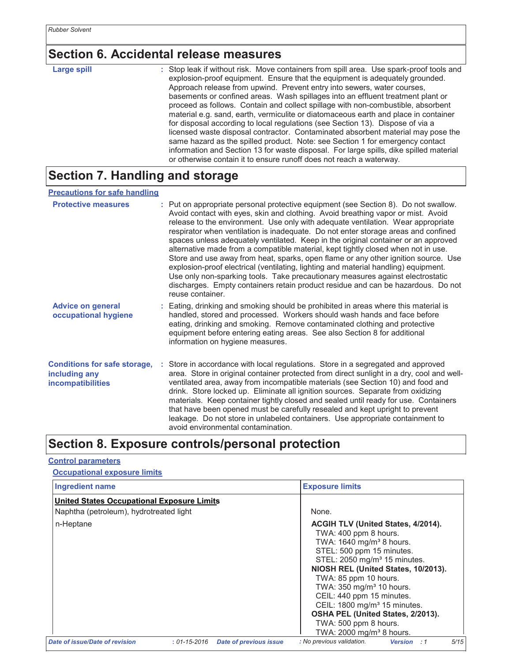### **Section 6. Accidental release measures**

**Large spill** 

: Stop leak if without risk. Move containers from spill area. Use spark-proof tools and explosion-proof equipment. Ensure that the equipment is adequately grounded. Approach release from upwind. Prevent entry into sewers, water courses, basements or confined areas. Wash spillages into an effluent treatment plant or proceed as follows. Contain and collect spillage with non-combustible, absorbent material e.g. sand, earth, vermiculite or diatomaceous earth and place in container for disposal according to local regulations (see Section 13). Dispose of via a licensed waste disposal contractor. Contaminated absorbent material may pose the same hazard as the spilled product. Note: see Section 1 for emergency contact information and Section 13 for waste disposal. For large spills, dike spilled material or otherwise contain it to ensure runoff does not reach a waterway.

## Section 7. Handling and storage

#### **Precautions for safe handling**

| <b>Protective measures</b>                                                       | : Put on appropriate personal protective equipment (see Section 8). Do not swallow.<br>Avoid contact with eyes, skin and clothing. Avoid breathing vapor or mist. Avoid<br>release to the environment. Use only with adequate ventilation. Wear appropriate<br>respirator when ventilation is inadequate. Do not enter storage areas and confined<br>spaces unless adequately ventilated. Keep in the original container or an approved<br>alternative made from a compatible material, kept tightly closed when not in use.<br>Store and use away from heat, sparks, open flame or any other ignition source. Use<br>explosion-proof electrical (ventilating, lighting and material handling) equipment.<br>Use only non-sparking tools. Take precautionary measures against electrostatic<br>discharges. Empty containers retain product residue and can be hazardous. Do not<br>reuse container. |
|----------------------------------------------------------------------------------|-----------------------------------------------------------------------------------------------------------------------------------------------------------------------------------------------------------------------------------------------------------------------------------------------------------------------------------------------------------------------------------------------------------------------------------------------------------------------------------------------------------------------------------------------------------------------------------------------------------------------------------------------------------------------------------------------------------------------------------------------------------------------------------------------------------------------------------------------------------------------------------------------------|
| <b>Advice on general</b><br>occupational hygiene                                 | : Eating, drinking and smoking should be prohibited in areas where this material is<br>handled, stored and processed. Workers should wash hands and face before<br>eating, drinking and smoking. Remove contaminated clothing and protective<br>equipment before entering eating areas. See also Section 8 for additional<br>information on hygiene measures.                                                                                                                                                                                                                                                                                                                                                                                                                                                                                                                                       |
| <b>Conditions for safe storage,</b><br>including any<br><b>incompatibilities</b> | Store in accordance with local regulations. Store in a segregated and approved<br>area. Store in original container protected from direct sunlight in a dry, cool and well-<br>ventilated area, away from incompatible materials (see Section 10) and food and<br>drink. Store locked up. Eliminate all ignition sources. Separate from oxidizing<br>materials. Keep container tightly closed and sealed until ready for use. Containers<br>that have been opened must be carefully resealed and kept upright to prevent<br>leakage. Do not store in unlabeled containers. Use appropriate containment to<br>avoid environmental contamination.                                                                                                                                                                                                                                                     |

### Section 8. Exposure controls/personal protection

#### **Control parameters**

#### **Occupational exposure limits**

| <b>Ingredient name</b>                     |                    |                        | <b>Exposure limits</b>                                                                                                                                                                                                                                                                                                                                                                                                              |                                     |  |
|--------------------------------------------|--------------------|------------------------|-------------------------------------------------------------------------------------------------------------------------------------------------------------------------------------------------------------------------------------------------------------------------------------------------------------------------------------------------------------------------------------------------------------------------------------|-------------------------------------|--|
| United States Occupational Exposure Limits |                    |                        |                                                                                                                                                                                                                                                                                                                                                                                                                                     |                                     |  |
| Naphtha (petroleum), hydrotreated light    |                    |                        | None.                                                                                                                                                                                                                                                                                                                                                                                                                               |                                     |  |
| n-Heptane                                  |                    |                        | <b>ACGIH TLV (United States, 4/2014).</b><br>TWA: 400 ppm 8 hours.<br>TWA: 1640 mg/m <sup>3</sup> 8 hours.<br>STEL: 500 ppm 15 minutes.<br>STEL: 2050 mg/m <sup>3</sup> 15 minutes.<br>TWA: 85 ppm 10 hours.<br>TWA: 350 mg/m <sup>3</sup> 10 hours.<br>CEIL: 440 ppm 15 minutes.<br>CEIL: 1800 mg/m <sup>3</sup> 15 minutes.<br>OSHA PEL (United States, 2/2013).<br>TWA: 500 ppm 8 hours.<br>TWA: 2000 mg/m <sup>3</sup> 8 hours. | NIOSH REL (United States, 10/2013). |  |
| Date of issue/Date of revision             | $: 01 - 15 - 2016$ | Date of previous issue | : No previous validation.                                                                                                                                                                                                                                                                                                                                                                                                           | 5/15<br><b>Version</b> : 1          |  |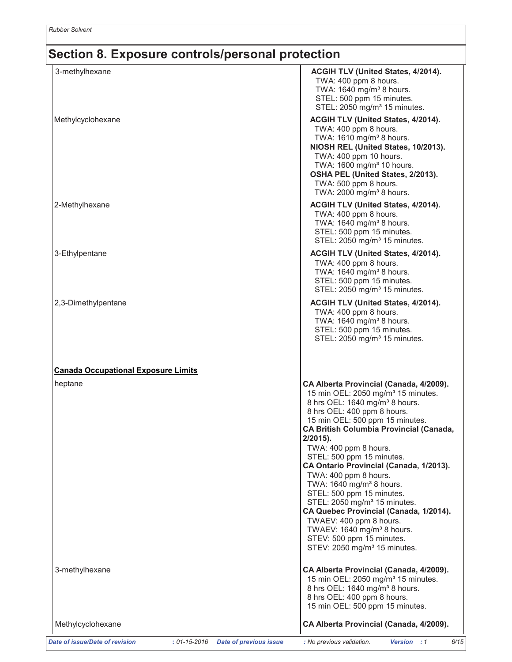### Section 8. Exposure controls/personal protection

| 3-methylhexane                                                                        | <b>ACGIH TLV (United States, 4/2014).</b><br>TWA: 400 ppm 8 hours.                                                                                                                                                                                                                                                                                                                                                                                                                                                                                                                                                                                                                                     |
|---------------------------------------------------------------------------------------|--------------------------------------------------------------------------------------------------------------------------------------------------------------------------------------------------------------------------------------------------------------------------------------------------------------------------------------------------------------------------------------------------------------------------------------------------------------------------------------------------------------------------------------------------------------------------------------------------------------------------------------------------------------------------------------------------------|
|                                                                                       | TWA: 1640 mg/m <sup>3</sup> 8 hours.<br>STEL: 500 ppm 15 minutes.<br>STEL: 2050 mg/m <sup>3</sup> 15 minutes.                                                                                                                                                                                                                                                                                                                                                                                                                                                                                                                                                                                          |
| Methylcyclohexane                                                                     | ACGIH TLV (United States, 4/2014).<br>TWA: 400 ppm 8 hours.<br>TWA: 1610 mg/m <sup>3</sup> 8 hours.<br>NIOSH REL (United States, 10/2013).<br>TWA: 400 ppm 10 hours.<br>TWA: 1600 mg/m <sup>3</sup> 10 hours.<br>OSHA PEL (United States, 2/2013).<br>TWA: 500 ppm 8 hours.<br>TWA: 2000 mg/m <sup>3</sup> 8 hours.                                                                                                                                                                                                                                                                                                                                                                                    |
| 2-Methylhexane                                                                        | ACGIH TLV (United States, 4/2014).<br>TWA: 400 ppm 8 hours.<br>TWA: 1640 mg/m <sup>3</sup> 8 hours.<br>STEL: 500 ppm 15 minutes.<br>STEL: 2050 mg/m <sup>3</sup> 15 minutes.                                                                                                                                                                                                                                                                                                                                                                                                                                                                                                                           |
| 3-Ethylpentane                                                                        | ACGIH TLV (United States, 4/2014).<br>TWA: 400 ppm 8 hours.<br>TWA: 1640 mg/m <sup>3</sup> 8 hours.<br>STEL: 500 ppm 15 minutes.<br>STEL: 2050 mg/m <sup>3</sup> 15 minutes.                                                                                                                                                                                                                                                                                                                                                                                                                                                                                                                           |
| 2,3-Dimethylpentane                                                                   | ACGIH TLV (United States, 4/2014).<br>TWA: 400 ppm 8 hours.<br>TWA: 1640 mg/m <sup>3</sup> 8 hours.<br>STEL: 500 ppm 15 minutes.<br>STEL: 2050 mg/m <sup>3</sup> 15 minutes.                                                                                                                                                                                                                                                                                                                                                                                                                                                                                                                           |
| <b>Canada Occupational Exposure Limits</b>                                            |                                                                                                                                                                                                                                                                                                                                                                                                                                                                                                                                                                                                                                                                                                        |
| heptane                                                                               | CA Alberta Provincial (Canada, 4/2009).<br>15 min OEL: 2050 mg/m <sup>3</sup> 15 minutes.<br>8 hrs OEL: 1640 mg/m <sup>3</sup> 8 hours.<br>8 hrs OEL: 400 ppm 8 hours.<br>15 min OEL: 500 ppm 15 minutes.<br>CA British Columbia Provincial (Canada,<br>$2/2015$ ).<br>TWA: 400 ppm 8 hours.<br>STEL: 500 ppm 15 minutes.<br>CA Ontario Provincial (Canada, 1/2013).<br>TWA: 400 ppm 8 hours.<br>TWA: 1640 mg/m <sup>3</sup> 8 hours.<br>STEL: 500 ppm 15 minutes.<br>STEL: 2050 mg/m <sup>3</sup> 15 minutes.<br>CA Quebec Provincial (Canada, 1/2014).<br>TWAEV: 400 ppm 8 hours.<br>TWAEV: 1640 mg/m <sup>3</sup> 8 hours.<br>STEV: 500 ppm 15 minutes.<br>STEV: 2050 mg/m <sup>3</sup> 15 minutes. |
| 3-methylhexane                                                                        | CA Alberta Provincial (Canada, 4/2009).<br>15 min OEL: 2050 mg/m <sup>3</sup> 15 minutes.<br>8 hrs OEL: 1640 mg/m <sup>3</sup> 8 hours.<br>8 hrs OEL: 400 ppm 8 hours.<br>15 min OEL: 500 ppm 15 minutes.                                                                                                                                                                                                                                                                                                                                                                                                                                                                                              |
| Methylcyclohexane                                                                     | CA Alberta Provincial (Canada, 4/2009).                                                                                                                                                                                                                                                                                                                                                                                                                                                                                                                                                                                                                                                                |
| Date of issue/Date of revision<br>$: 01 - 15 - 2016$<br><b>Date of previous issue</b> | : No previous validation.<br>6/15<br><b>Version</b> : 1                                                                                                                                                                                                                                                                                                                                                                                                                                                                                                                                                                                                                                                |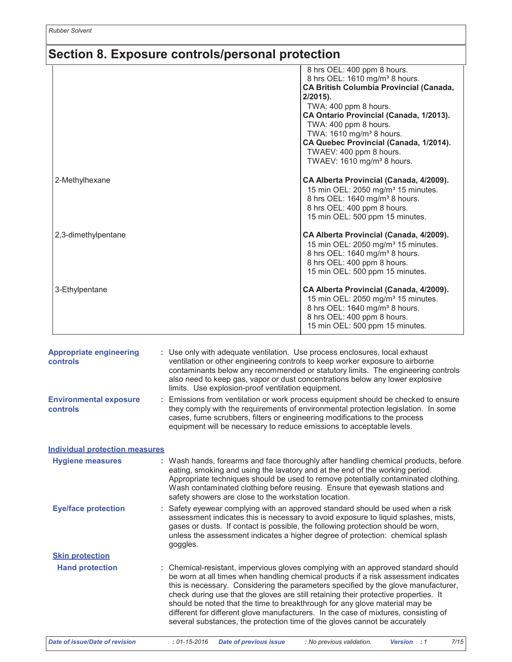### Section 8. Exposure controls/personal protection

|                     | 8 hrs OEL: 400 ppm 8 hours.<br>8 hrs OEL: 1610 mg/m <sup>3</sup> 8 hours.<br><b>CA British Columbia Provincial (Canada,</b><br>$2/2015$ .<br>TWA: 400 ppm 8 hours.<br>CA Ontario Provincial (Canada, 1/2013).<br>TWA: 400 ppm 8 hours.<br>TWA: 1610 mg/m <sup>3</sup> 8 hours.<br>CA Quebec Provincial (Canada, 1/2014).<br>TWAEV: 400 ppm 8 hours.<br>TWAEV: 1610 mg/m <sup>3</sup> 8 hours. |
|---------------------|-----------------------------------------------------------------------------------------------------------------------------------------------------------------------------------------------------------------------------------------------------------------------------------------------------------------------------------------------------------------------------------------------|
| 2-Methylhexane      | CA Alberta Provincial (Canada, 4/2009).<br>15 min OEL: 2050 mg/m <sup>3</sup> 15 minutes.<br>8 hrs OEL: 1640 mg/m <sup>3</sup> 8 hours.<br>8 hrs OEL: 400 ppm 8 hours.<br>15 min OEL: 500 ppm 15 minutes.                                                                                                                                                                                     |
| 2,3-dimethylpentane | CA Alberta Provincial (Canada, 4/2009).<br>15 min OEL: 2050 mg/m <sup>3</sup> 15 minutes.<br>8 hrs OEL: 1640 mg/m <sup>3</sup> 8 hours.<br>8 hrs OEL: 400 ppm 8 hours.<br>15 min OEL: 500 ppm 15 minutes.                                                                                                                                                                                     |
| 3-Ethylpentane      | CA Alberta Provincial (Canada, 4/2009).<br>15 min OEL: 2050 mg/m <sup>3</sup> 15 minutes.<br>8 hrs OEL: 1640 mg/m <sup>3</sup> 8 hours.<br>8 hrs OEL: 400 ppm 8 hours.<br>15 min OEL: 500 ppm 15 minutes.                                                                                                                                                                                     |

| <b>Appropriate engineering</b><br><b>controls</b> |    | : Use only with adequate ventilation. Use process enclosures, local exhaust<br>ventilation or other engineering controls to keep worker exposure to airborne<br>contaminants below any recommended or statutory limits. The engineering controls<br>also need to keep gas, vapor or dust concentrations below any lower explosive<br>limits. Use explosion-proof ventilation equipment.                                                                                                                                                                                                                     |  |  |  |
|---------------------------------------------------|----|-------------------------------------------------------------------------------------------------------------------------------------------------------------------------------------------------------------------------------------------------------------------------------------------------------------------------------------------------------------------------------------------------------------------------------------------------------------------------------------------------------------------------------------------------------------------------------------------------------------|--|--|--|
| <b>Environmental exposure</b><br>controls         | ÷. | Emissions from ventilation or work process equipment should be checked to ensure<br>they comply with the requirements of environmental protection legislation. In some<br>cases, fume scrubbers, filters or engineering modifications to the process<br>equipment will be necessary to reduce emissions to acceptable levels.                                                                                                                                                                                                                                                                               |  |  |  |
| Individual protection measures                    |    |                                                                                                                                                                                                                                                                                                                                                                                                                                                                                                                                                                                                             |  |  |  |
| <b>Hygiene measures</b>                           |    | : Wash hands, forearms and face thoroughly after handling chemical products, before<br>eating, smoking and using the lavatory and at the end of the working period.<br>Appropriate techniques should be used to remove potentially contaminated clothing.<br>Wash contaminated clothing before reusing. Ensure that eyewash stations and<br>safety showers are close to the workstation location.                                                                                                                                                                                                           |  |  |  |
| <b>Eye/face protection</b>                        |    | : Safety eyewear complying with an approved standard should be used when a risk<br>assessment indicates this is necessary to avoid exposure to liquid splashes, mists,<br>gases or dusts. If contact is possible, the following protection should be worn,<br>unless the assessment indicates a higher degree of protection: chemical splash<br>goggles.                                                                                                                                                                                                                                                    |  |  |  |
| <b>Skin protection</b>                            |    |                                                                                                                                                                                                                                                                                                                                                                                                                                                                                                                                                                                                             |  |  |  |
| <b>Hand protection</b>                            |    | : Chemical-resistant, impervious gloves complying with an approved standard should<br>be worn at all times when handling chemical products if a risk assessment indicates<br>this is necessary. Considering the parameters specified by the glove manufacturer,<br>check during use that the gloves are still retaining their protective properties. It<br>should be noted that the time to breakthrough for any glove material may be<br>different for different glove manufacturers. In the case of mixtures, consisting of<br>several substances, the protection time of the gloves cannot be accurately |  |  |  |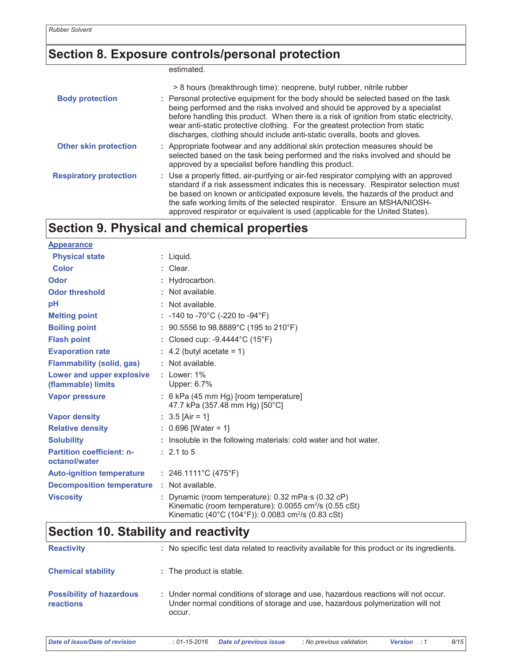### Section 8. Exposure controls/personal protection

estimated.

|                               | > 8 hours (breakthrough time): neoprene, butyl rubber, nitrile rubber                                                                                                                                                                                                                                                                                                                                                             |
|-------------------------------|-----------------------------------------------------------------------------------------------------------------------------------------------------------------------------------------------------------------------------------------------------------------------------------------------------------------------------------------------------------------------------------------------------------------------------------|
| <b>Body protection</b>        | : Personal protective equipment for the body should be selected based on the task<br>being performed and the risks involved and should be approved by a specialist<br>before handling this product. When there is a risk of ignition from static electricity,<br>wear anti-static protective clothing. For the greatest protection from static<br>discharges, clothing should include anti-static overalls, boots and gloves.     |
| <b>Other skin protection</b>  | : Appropriate footwear and any additional skin protection measures should be<br>selected based on the task being performed and the risks involved and should be<br>approved by a specialist before handling this product.                                                                                                                                                                                                         |
| <b>Respiratory protection</b> | : Use a properly fitted, air-purifying or air-fed respirator complying with an approved<br>standard if a risk assessment indicates this is necessary. Respirator selection must<br>be based on known or anticipated exposure levels, the hazards of the product and<br>the safe working limits of the selected respirator. Ensure an MSHA/NIOSH-<br>approved respirator or equivalent is used (applicable for the United States). |

## **Section 9. Physical and chemical properties**

| <b>Appearance</b>                                 |                                                                                                                                                                                                         |
|---------------------------------------------------|---------------------------------------------------------------------------------------------------------------------------------------------------------------------------------------------------------|
| <b>Physical state</b>                             | $:$ Liquid.                                                                                                                                                                                             |
| <b>Color</b>                                      | : Clear.                                                                                                                                                                                                |
| Odor                                              | : Hydrocarbon.                                                                                                                                                                                          |
| <b>Odor threshold</b>                             | $\cdot$ Not available.                                                                                                                                                                                  |
| рH                                                | : Not available.                                                                                                                                                                                        |
| <b>Melting point</b>                              | : -140 to -70°C (-220 to -94°F)                                                                                                                                                                         |
| <b>Boiling point</b>                              | : $90.5556$ to $98.8889^{\circ}$ C (195 to 210°F)                                                                                                                                                       |
| <b>Flash point</b>                                | : Closed cup: $-9.4444^{\circ}$ C (15 $^{\circ}$ F)                                                                                                                                                     |
| <b>Evaporation rate</b>                           | $\therefore$ 4.2 (butyl acetate = 1)                                                                                                                                                                    |
| <b>Flammability (solid, gas)</b>                  | : Not available.                                                                                                                                                                                        |
| Lower and upper explosive<br>(flammable) limits   | $:$ Lower: 1%<br>Upper: 6.7%                                                                                                                                                                            |
| <b>Vapor pressure</b>                             | : 6 kPa (45 mm Hg) [room temperature]<br>47.7 kPa (357.48 mm Hg) [50°C]                                                                                                                                 |
| <b>Vapor density</b>                              | $: 3.5$ [Air = 1]                                                                                                                                                                                       |
| <b>Relative density</b>                           | $: 0.696$ [Water = 1]                                                                                                                                                                                   |
| <b>Solubility</b>                                 | : Insoluble in the following materials: cold water and hot water.                                                                                                                                       |
| <b>Partition coefficient: n-</b><br>octanol/water | $: 2.1 \text{ to } 5$                                                                                                                                                                                   |
| Auto-ignition temperature : 246.1111°C (475°F)    |                                                                                                                                                                                                         |
| <b>Decomposition temperature : Not available.</b> |                                                                                                                                                                                                         |
| <b>Viscosity</b>                                  | : Dynamic (room temperature): $0.32$ mPa $\cdot$ s ( $0.32$ cP)<br>Kinematic (room temperature): 0.0055 cm <sup>2</sup> /s (0.55 cSt)<br>Kinematic (40°C (104°F)): 0.0083 cm <sup>2</sup> /s (0.83 cSt) |

### **Section 10. Stability and reactivity**

| <b>Reactivity</b>                                   | : No specific test data related to reactivity available for this product or its ingredients.                                                                                 |
|-----------------------------------------------------|------------------------------------------------------------------------------------------------------------------------------------------------------------------------------|
| <b>Chemical stability</b>                           | : The product is stable.                                                                                                                                                     |
| <b>Possibility of hazardous</b><br><b>reactions</b> | : Under normal conditions of storage and use, hazardous reactions will not occur.<br>Under normal conditions of storage and use, hazardous polymerization will not<br>occur. |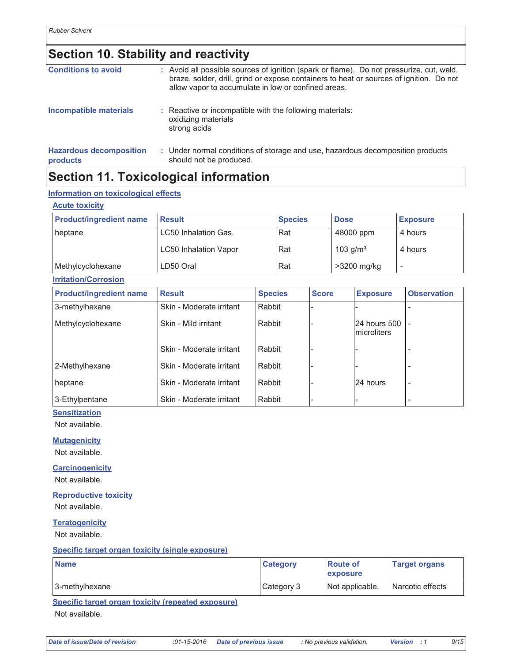## **Section 10. Stability and reactivity**

| <b>Conditions to avoid</b>                 | : Avoid all possible sources of ignition (spark or flame). Do not pressurize, cut, weld,<br>braze, solder, drill, grind or expose containers to heat or sources of ignition. Do not<br>allow vapor to accumulate in low or confined areas. |
|--------------------------------------------|--------------------------------------------------------------------------------------------------------------------------------------------------------------------------------------------------------------------------------------------|
| Incompatible materials                     | : Reactive or incompatible with the following materials:<br>oxidizing materials<br>strong acids                                                                                                                                            |
| <b>Hazardous decomposition</b><br>products | : Under normal conditions of storage and use, hazardous decomposition products<br>should not be produced.                                                                                                                                  |

## **Section 11. Toxicological information**

#### Information on toxicological effects

| <b>Acute toxicity</b>          |                              |                |                |              |             |                              |   |                    |  |
|--------------------------------|------------------------------|----------------|----------------|--------------|-------------|------------------------------|---|--------------------|--|
| <b>Product/ingredient name</b> | <b>Result</b>                |                | <b>Species</b> |              |             | <b>Dose</b>                  |   | <b>Exposure</b>    |  |
| heptane                        | LC50 Inhalation Gas.         |                | Rat            |              |             | 48000 ppm                    |   | 4 hours            |  |
|                                | <b>LC50 Inhalation Vapor</b> |                | Rat            |              | 103 $g/m3$  |                              |   | 4 hours            |  |
| Methylcyclohexane              | LD50 Oral                    |                | Rat            |              | >3200 mg/kg |                              | ۰ |                    |  |
| <b>Irritation/Corrosion</b>    |                              |                |                |              |             |                              |   |                    |  |
| <b>Product/ingredient name</b> | <b>Result</b>                | <b>Species</b> |                | <b>Score</b> |             | <b>Exposure</b>              |   | <b>Observation</b> |  |
| 3-methylhexane                 | Skin - Moderate irritant     |                | Rabbit         |              |             |                              |   |                    |  |
| Methylcyclohexane              | Skin - Mild irritant         |                | Rabbit         |              |             | 24 hours 500<br>Imicroliters |   |                    |  |
|                                | Skin - Moderate irritant     | Rabbit         |                |              |             |                              |   |                    |  |
| 2-Methylhexane                 | Skin - Moderate irritant     | Rabbit         |                |              |             |                              |   |                    |  |
| heptane                        | Skin - Moderate irritant     | Rabbit         |                |              |             | I24 hours                    |   |                    |  |

Rabbit

Skin - Moderate irritant

#### 3-Ethylpentane **Sensitization**

Not available.

#### **Mutagenicity**

Not available.

#### **Carcinogenicity**

Not available.

### **Reproductive toxicity**

Not available.

**Teratogenicity** 

Not available.

#### Specific target organ toxicity (single exposure)

| <b>Name</b>    | <b>Category</b> | <b>Route of</b><br><b>Lexposure</b> | <b>Target organs</b> |
|----------------|-----------------|-------------------------------------|----------------------|
| 3-methylhexane | Category 3      | Not applicable.                     | Narcotic effects     |

Specific target organ toxicity (repeated exposure)

Not available.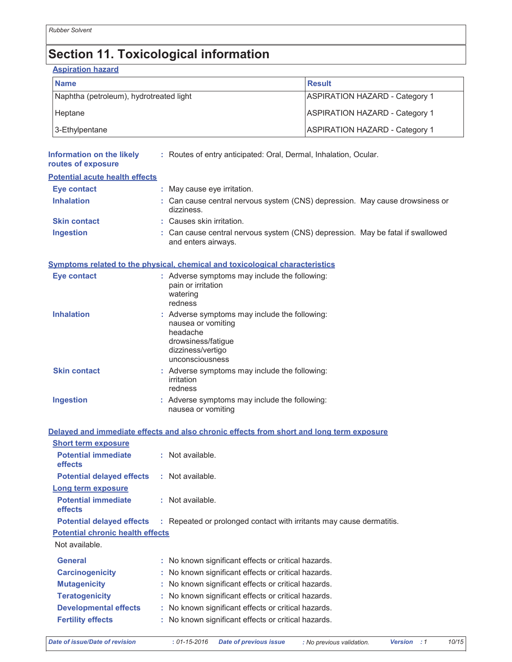# **Section 11. Toxicological information**

**Aspiration hazard** 

| <b>Name</b>                             | Result                                |
|-----------------------------------------|---------------------------------------|
| Naphtha (petroleum), hydrotreated light | <b>ASPIRATION HAZARD - Category 1</b> |
| Heptane                                 | <b>ASPIRATION HAZARD - Category 1</b> |
| 3-Ethylpentane                          | <b>ASPIRATION HAZARD - Category 1</b> |

| Information on the likely<br>routes of exposure | : Routes of entry anticipated: Oral, Dermal, Inhalation, Ocular.                                                                              |
|-------------------------------------------------|-----------------------------------------------------------------------------------------------------------------------------------------------|
| <b>Potential acute health effects</b>           |                                                                                                                                               |
| <b>Eye contact</b>                              | : May cause eye irritation.                                                                                                                   |
| <b>Inhalation</b>                               | : Can cause central nervous system (CNS) depression. May cause drowsiness or<br>dizziness.                                                    |
| <b>Skin contact</b>                             | : Causes skin irritation.                                                                                                                     |
| <b>Ingestion</b>                                | : Can cause central nervous system (CNS) depression. May be fatal if swallowed<br>and enters airways.                                         |
|                                                 | Symptoms related to the physical, chemical and toxicological characteristics                                                                  |
| <b>Eye contact</b>                              | : Adverse symptoms may include the following:<br>pain or irritation<br>watering<br>redness                                                    |
| <b>Inhalation</b>                               | : Adverse symptoms may include the following:<br>nausea or vomiting<br>headache<br>drowsiness/fatigue<br>dizziness/vertigo<br>unconsciousness |
| <b>Skin contact</b>                             | : Adverse symptoms may include the following:<br>irritation<br>redness                                                                        |
| <b>Ingestion</b>                                | : Adverse symptoms may include the following:<br>nausea or vomiting                                                                           |
|                                                 | Delayed and immediate effects and also chronic effects from short and long term exposure                                                      |
| <b>Short term exposure</b>                      |                                                                                                                                               |
| <b>Potential immediate</b><br>effects           | : Not available.                                                                                                                              |
| <b>Potential delayed effects</b>                | : Not available.                                                                                                                              |
| Long term exposure                              |                                                                                                                                               |
| <b>Potential immediate</b><br>effects           | : Not available.                                                                                                                              |
| <b>Potential delayed effects</b>                | : Repeated or prolonged contact with irritants may cause dermatitis.                                                                          |
| <b>Potential chronic health effects</b>         |                                                                                                                                               |
| Not available.                                  |                                                                                                                                               |
| <b>General</b>                                  | : No known significant effects or critical hazards.                                                                                           |
| <b>Carcinogenicity</b>                          | No known significant effects or critical hazards.                                                                                             |
| <b>Mutagenicity</b>                             | : No known significant effects or critical hazards.                                                                                           |

- **Teratogenicity** : No known significant effects or critical hazards.
- **Developmental effects** : No known significant effects or critical hazards.
- **Fertility effects** : No known significant effects or critical hazards.

 $10/15$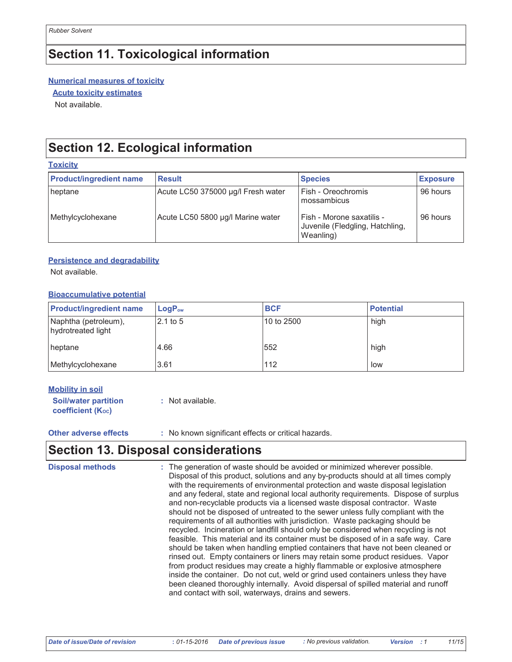## **Section 11. Toxicological information**

#### **Numerical measures of toxicity**

**Acute toxicity estimates** 

Not available.

.<br>Tanzania de la

## **Section 12. Ecological information**

| <b>TUAIGHY</b>                 |                                    |                                                                           |                 |
|--------------------------------|------------------------------------|---------------------------------------------------------------------------|-----------------|
| <b>Product/ingredient name</b> | <b>Result</b>                      | <b>Species</b>                                                            | <b>Exposure</b> |
| heptane                        | Acute LC50 375000 µg/l Fresh water | Fish - Oreochromis<br>mossambicus                                         | 96 hours        |
| Methylcyclohexane              | Acute LC50 5800 µg/l Marine water  | Fish - Morone saxatilis -<br>Juvenile (Fledgling, Hatchling,<br>Weanling) | 96 hours        |

#### **Persistence and degradability**

Not available.

#### **Bioaccumulative potential**

| <b>Product/ingredient name</b>             | $\mathsf{LogP}_\mathsf{ow}$ | <b>BCF</b> | <b>Potential</b> |
|--------------------------------------------|-----------------------------|------------|------------------|
| Naphtha (petroleum),<br>hydrotreated light | 2.1 to 5                    | 10 to 2500 | high             |
| heptane                                    | 4.66                        | 1552       | high             |
| Methylcyclohexane                          | 3.61                        | 112        | low              |

#### **Mobility in soil**

**Soil/water partition** : Not available. coefficient (Koc)

**Other adverse effects** 

: No known significant effects or critical hazards.

### **Section 13. Disposal considerations**

**Disposal methods** The generation of waste should be avoided or minimized wherever possible. Disposal of this product, solutions and any by-products should at all times comply with the requirements of environmental protection and waste disposal legislation and any federal, state and regional local authority requirements. Dispose of surplus and non-recyclable products via a licensed waste disposal contractor. Waste should not be disposed of untreated to the sewer unless fully compliant with the requirements of all authorities with jurisdiction. Waste packaging should be recycled. Incineration or landfill should only be considered when recycling is not feasible. This material and its container must be disposed of in a safe way. Care should be taken when handling emptied containers that have not been cleaned or rinsed out. Empty containers or liners may retain some product residues. Vapor from product residues may create a highly flammable or explosive atmosphere inside the container. Do not cut, weld or grind used containers unless they have been cleaned thoroughly internally. Avoid dispersal of spilled material and runoff and contact with soil, waterways, drains and sewers.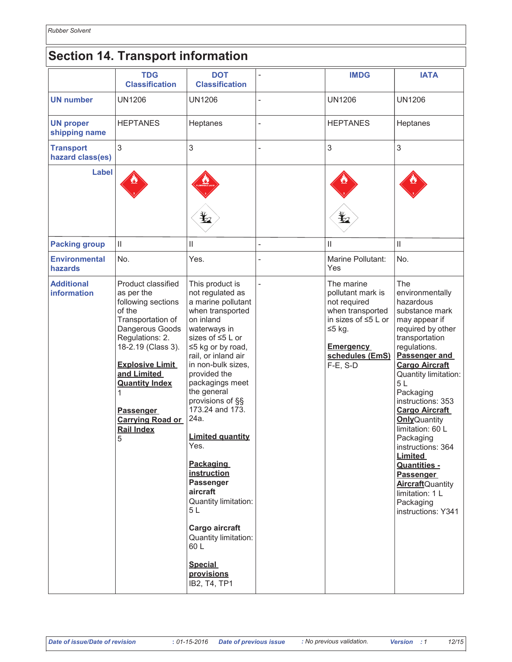## **Section 14. Transport information**

|                                      | <b>TDG</b><br><b>Classification</b>                                                                                                                                                                                                                                                               | <b>DOT</b><br><b>Classification</b>                                                                                                                                                                                                                                                                                                                                                                                                                                                                                                    |                | <b>IMDG</b>                                                                                                                                                     | <b>IATA</b>                                                                                                                                                                                                                                                                                                                                                                                                                                                                                   |
|--------------------------------------|---------------------------------------------------------------------------------------------------------------------------------------------------------------------------------------------------------------------------------------------------------------------------------------------------|----------------------------------------------------------------------------------------------------------------------------------------------------------------------------------------------------------------------------------------------------------------------------------------------------------------------------------------------------------------------------------------------------------------------------------------------------------------------------------------------------------------------------------------|----------------|-----------------------------------------------------------------------------------------------------------------------------------------------------------------|-----------------------------------------------------------------------------------------------------------------------------------------------------------------------------------------------------------------------------------------------------------------------------------------------------------------------------------------------------------------------------------------------------------------------------------------------------------------------------------------------|
| <b>UN number</b>                     | <b>UN1206</b>                                                                                                                                                                                                                                                                                     | <b>UN1206</b>                                                                                                                                                                                                                                                                                                                                                                                                                                                                                                                          |                | <b>UN1206</b>                                                                                                                                                   | <b>UN1206</b>                                                                                                                                                                                                                                                                                                                                                                                                                                                                                 |
| <b>UN proper</b><br>shipping name    | <b>HEPTANES</b>                                                                                                                                                                                                                                                                                   | Heptanes                                                                                                                                                                                                                                                                                                                                                                                                                                                                                                                               | $\overline{a}$ | <b>HEPTANES</b>                                                                                                                                                 | Heptanes                                                                                                                                                                                                                                                                                                                                                                                                                                                                                      |
| <b>Transport</b><br>hazard class(es) | 3                                                                                                                                                                                                                                                                                                 | 3                                                                                                                                                                                                                                                                                                                                                                                                                                                                                                                                      |                | 3                                                                                                                                                               | 3                                                                                                                                                                                                                                                                                                                                                                                                                                                                                             |
| Label                                |                                                                                                                                                                                                                                                                                                   | ⊻                                                                                                                                                                                                                                                                                                                                                                                                                                                                                                                                      |                |                                                                                                                                                                 |                                                                                                                                                                                                                                                                                                                                                                                                                                                                                               |
| <b>Packing group</b>                 | $\vert\vert$                                                                                                                                                                                                                                                                                      | $\ensuremath{\mathsf{II}}$                                                                                                                                                                                                                                                                                                                                                                                                                                                                                                             | $\overline{a}$ | $\mathbf{  }$                                                                                                                                                   | $\mathbf{II}$                                                                                                                                                                                                                                                                                                                                                                                                                                                                                 |
| <b>Environmental</b><br>hazards      | No.                                                                                                                                                                                                                                                                                               | Yes.                                                                                                                                                                                                                                                                                                                                                                                                                                                                                                                                   |                | Marine Pollutant:<br>Yes                                                                                                                                        | No.                                                                                                                                                                                                                                                                                                                                                                                                                                                                                           |
| <b>Additional</b><br>information     | Product classified<br>as per the<br>following sections<br>of the<br>Transportation of<br>Dangerous Goods<br>Regulations: 2.<br>18-2.19 (Class 3).<br><b>Explosive Limit</b><br>and Limited<br><b>Quantity Index</b><br>1<br><b>Passenger</b><br><b>Carrying Road or</b><br><b>Rail Index</b><br>5 | This product is<br>not regulated as<br>a marine pollutant<br>when transported<br>on inland<br>waterways in<br>sizes of ≤5 L or<br>$\leq$ 5 kg or by road,<br>rail, or inland air<br>in non-bulk sizes,<br>provided the<br>packagings meet<br>the general<br>provisions of §§<br>173.24 and 173.<br>24a.<br><b>Limited quantity</b><br>Yes.<br><b>Packaging</b><br>instruction<br>Passenger<br>aircraft<br>Quantity limitation:<br>5L<br>Cargo aircraft<br>Quantity limitation:<br>60 L<br><b>Special</b><br>provisions<br>IB2, T4, TP1 | $\overline{a}$ | The marine<br>pollutant mark is<br>not required<br>when transported<br>in sizes of $\leq 5$ L or<br>$≤5$ kg.<br><b>Emergency</b><br>schedules (EmS)<br>F-E, S-D | The<br>environmentally<br>hazardous<br>substance mark<br>may appear if<br>required by other<br>transportation<br>regulations.<br>Passenger and<br><b>Cargo Aircraft</b><br>Quantity limitation:<br>5L<br>Packaging<br>instructions: 353<br><b>Cargo Aircraft</b><br><b>Only</b> Quantity<br>limitation: 60 L<br>Packaging<br>instructions: 364<br><b>Limited</b><br><b>Quantities -</b><br><b>Passenger</b><br><b>Aircraft</b> Quantity<br>limitation: 1 L<br>Packaging<br>instructions: Y341 |

 $12/15$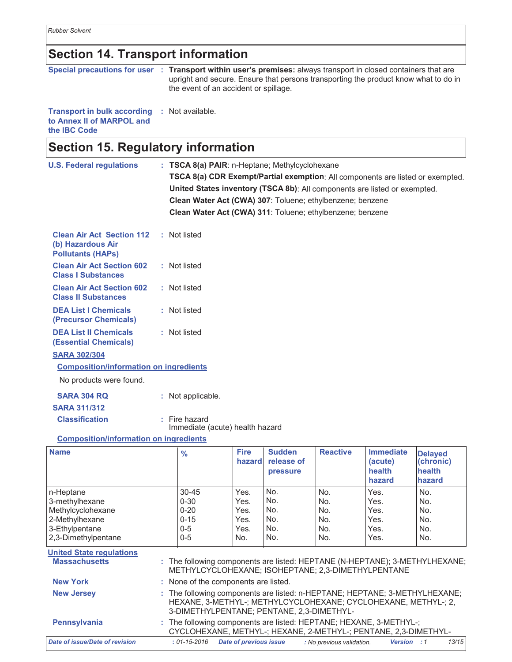*Rubber Solvent*

### **Section 14. Transport information**

|                                                                                  | Special precautions for user : Transport within user's premises: always transport in closed containers that are<br>upright and secure. Ensure that persons transporting the product know what to do in<br>the event of an accident or spillage. |
|----------------------------------------------------------------------------------|-------------------------------------------------------------------------------------------------------------------------------------------------------------------------------------------------------------------------------------------------|
| <b>Transport in bulk according : Not available.</b><br>to Annex II of MARPOL and |                                                                                                                                                                                                                                                 |

the **IBC** Code

### **Section 15. Regulatory information**

| <b>U.S. Federal regulations</b>                                                   | : TSCA 8(a) PAIR: n-Heptane; Methylcyclohexane<br>TSCA 8(a) CDR Exempt/Partial exemption: All components are listed or exempted.<br>United States inventory (TSCA 8b): All components are listed or exempted.<br>Clean Water Act (CWA) 307: Toluene; ethylbenzene; benzene<br>Clean Water Act (CWA) 311: Toluene; ethylbenzene; benzene |                       |                                         |                 |                                       |                                       |  |
|-----------------------------------------------------------------------------------|-----------------------------------------------------------------------------------------------------------------------------------------------------------------------------------------------------------------------------------------------------------------------------------------------------------------------------------------|-----------------------|-----------------------------------------|-----------------|---------------------------------------|---------------------------------------|--|
| <b>Clean Air Act Section 112</b><br>(b) Hazardous Air<br><b>Pollutants (HAPS)</b> | : Not listed                                                                                                                                                                                                                                                                                                                            |                       |                                         |                 |                                       |                                       |  |
| <b>Clean Air Act Section 602</b><br><b>Class I Substances</b>                     | : Not listed                                                                                                                                                                                                                                                                                                                            |                       |                                         |                 |                                       |                                       |  |
| <b>Clean Air Act Section 602</b><br><b>Class II Substances</b>                    | : Not listed                                                                                                                                                                                                                                                                                                                            |                       |                                         |                 |                                       |                                       |  |
| <b>DEA List I Chemicals</b><br>(Precursor Chemicals)                              | : Not listed                                                                                                                                                                                                                                                                                                                            |                       |                                         |                 |                                       |                                       |  |
| <b>DEA List II Chemicals</b><br><b>(Essential Chemicals)</b>                      | : Not listed                                                                                                                                                                                                                                                                                                                            |                       |                                         |                 |                                       |                                       |  |
| <b>SARA 302/304</b>                                                               |                                                                                                                                                                                                                                                                                                                                         |                       |                                         |                 |                                       |                                       |  |
| <b>Composition/information on ingredients</b>                                     |                                                                                                                                                                                                                                                                                                                                         |                       |                                         |                 |                                       |                                       |  |
| No products were found.                                                           |                                                                                                                                                                                                                                                                                                                                         |                       |                                         |                 |                                       |                                       |  |
| <b>SARA 304 RQ</b>                                                                | : Not applicable.                                                                                                                                                                                                                                                                                                                       |                       |                                         |                 |                                       |                                       |  |
| <b>SARA 311/312</b>                                                               |                                                                                                                                                                                                                                                                                                                                         |                       |                                         |                 |                                       |                                       |  |
| <b>Classification</b>                                                             | $:$ Fire hazard<br>Immediate (acute) health hazard                                                                                                                                                                                                                                                                                      |                       |                                         |                 |                                       |                                       |  |
| <b>Composition/information on ingredients</b>                                     |                                                                                                                                                                                                                                                                                                                                         |                       |                                         |                 |                                       |                                       |  |
| <b>Name</b>                                                                       | $\frac{9}{6}$                                                                                                                                                                                                                                                                                                                           | <b>Fire</b><br>hazard | <b>Sudden</b><br>release of<br>pressure | <b>Reactive</b> | <b>Immediate</b><br>(acute)<br>health | <b>Delayed</b><br>(chronic)<br>health |  |

|                                                         |                                                                                                                                                                                           | nazaroi                | <b>Telease of</b><br>pressure |                           | (acute)<br>health<br>hazard | (Chronic)<br>health<br>hazard |
|---------------------------------------------------------|-------------------------------------------------------------------------------------------------------------------------------------------------------------------------------------------|------------------------|-------------------------------|---------------------------|-----------------------------|-------------------------------|
| n-Heptane                                               | $30 - 45$                                                                                                                                                                                 | Yes.                   | No.                           | No.                       | Yes.                        | No.                           |
| 3-methylhexane                                          | $0 - 30$                                                                                                                                                                                  | Yes.                   | No.                           | No.                       | Yes.                        | No.                           |
| Methylcyclohexane                                       | $0 - 20$                                                                                                                                                                                  | Yes.                   | No.                           | No.                       | Yes.                        | No.                           |
| 2-Methylhexane                                          | $0 - 15$                                                                                                                                                                                  | Yes.                   | No.                           | No.                       | Yes.                        | No.                           |
| 3-Ethylpentane                                          | $0 - 5$                                                                                                                                                                                   | Yes.                   | No.                           | No.                       | Yes.                        | No.                           |
| 2,3-Dimethylpentane                                     | $0 - 5$                                                                                                                                                                                   | No.                    | No.                           | No.                       | Yes.                        | No.                           |
| <b>United State regulations</b><br><b>Massachusetts</b> | : The following components are listed: HEPTANE (N-HEPTANE); 3-METHYLHEXANE;<br>METHYLCYCLOHEXANE; ISOHEPTANE; 2,3-DIMETHYLPENTANE                                                         |                        |                               |                           |                             |                               |
| <b>New York</b>                                         | : None of the components are listed.                                                                                                                                                      |                        |                               |                           |                             |                               |
| <b>New Jersey</b>                                       | : The following components are listed: n-HEPTANE; HEPTANE; 3-METHYLHEXANE;<br>HEXANE, 3-METHYL-; METHYLCYCLOHEXANE; CYCLOHEXANE, METHYL-; 2,<br>3-DIMETHYLPENTANE; PENTANE, 2,3-DIMETHYL- |                        |                               |                           |                             |                               |
| <b>Pennsylvania</b>                                     | : The following components are listed: HEPTANE; HEXANE, 3-METHYL-;<br>CYCLOHEXANE, METHYL-; HEXANE, 2-METHYL-; PENTANE, 2,3-DIMETHYL-                                                     |                        |                               |                           |                             |                               |
| Date of issue/Date of revision                          | $: 01 - 15 - 2016$                                                                                                                                                                        | Date of previous issue |                               | : No previous validation. | Version : 1                 | 13/15                         |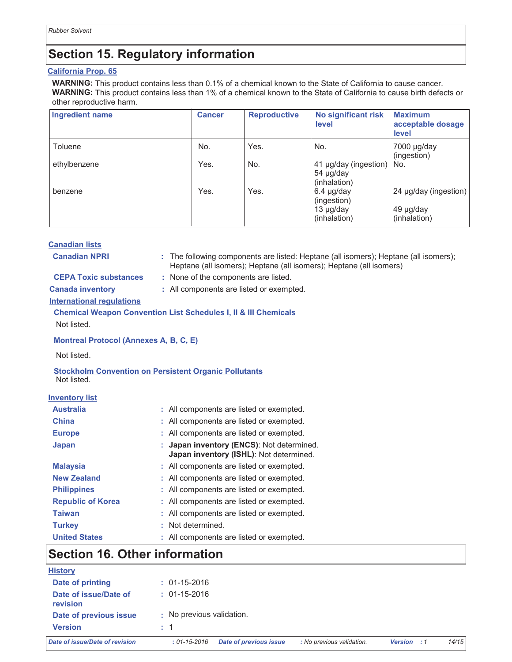## **Section 15. Regulatory information**

#### California Prop. 65

WARNING: This product contains less than 0.1% of a chemical known to the State of California to cause cancer. WARNING: This product contains less than 1% of a chemical known to the State of California to cause birth defects or other reproductive harm.

| <b>Ingredient name</b> | <b>Cancer</b> | <b>Reproductive</b> | No significant risk<br>level                                     | <b>Maximum</b><br>acceptable dosage<br>level       |
|------------------------|---------------|---------------------|------------------------------------------------------------------|----------------------------------------------------|
| Toluene                | No.           | Yes.                | No.                                                              | $7000 \mu g/day$<br>(ingestion)                    |
| ethylbenzene           | Yes.          | No.                 | 41 µg/day (ingestion)<br>54 µg/day<br>(inhalation)               | No.                                                |
| benzene                | Yes.          | Yes.                | $6.4 \mu g/day$<br>(ingestion)<br>$13 \mu g/day$<br>(inhalation) | 24 µg/day (ingestion)<br>49 µg/day<br>(inhalation) |

|                                                                            |                                          |  | 13 µg/day<br>(inhalation)                                                                                                                                   | 49 µg/day<br>(inhalation) |  |
|----------------------------------------------------------------------------|------------------------------------------|--|-------------------------------------------------------------------------------------------------------------------------------------------------------------|---------------------------|--|
| <b>Canadian lists</b>                                                      |                                          |  |                                                                                                                                                             |                           |  |
| <b>Canadian NPRI</b>                                                       |                                          |  | : The following components are listed: Heptane (all isomers); Heptane (all isomers);<br>Heptane (all isomers); Heptane (all isomers); Heptane (all isomers) |                           |  |
| <b>CEPA Toxic substances</b>                                               | : None of the components are listed.     |  |                                                                                                                                                             |                           |  |
| <b>Canada inventory</b>                                                    | : All components are listed or exempted. |  |                                                                                                                                                             |                           |  |
| <b>International regulations</b>                                           |                                          |  |                                                                                                                                                             |                           |  |
| <b>Chemical Weapon Convention List Schedules I, II &amp; III Chemicals</b> |                                          |  |                                                                                                                                                             |                           |  |
| Not listed.                                                                |                                          |  |                                                                                                                                                             |                           |  |
| <b>Montreal Protocol (Annexes A, B, C, E)</b>                              |                                          |  |                                                                                                                                                             |                           |  |
| Not listed.                                                                |                                          |  |                                                                                                                                                             |                           |  |
| <b>Stockholm Convention on Persistent Organic Pollutants</b>               |                                          |  |                                                                                                                                                             |                           |  |

Not listed.

| <b>Inventory list</b>    |                                                                                      |
|--------------------------|--------------------------------------------------------------------------------------|
| <b>Australia</b>         | : All components are listed or exempted.                                             |
| <b>China</b>             | : All components are listed or exempted.                                             |
| <b>Europe</b>            | : All components are listed or exempted.                                             |
| Japan                    | : Japan inventory (ENCS): Not determined.<br>Japan inventory (ISHL): Not determined. |
| <b>Malaysia</b>          | : All components are listed or exempted.                                             |
| <b>New Zealand</b>       | : All components are listed or exempted.                                             |
| <b>Philippines</b>       | : All components are listed or exempted.                                             |
| <b>Republic of Korea</b> | : All components are listed or exempted.                                             |
| Taiwan                   | : All components are listed or exempted.                                             |

**Turkey** : Not determined.

| <b>United States</b> | All components are listed or exempted. |  |
|----------------------|----------------------------------------|--|
|                      |                                        |  |

## **Section 16. Other information**

| <b>History</b>                    |                                                                                  |             |       |
|-----------------------------------|----------------------------------------------------------------------------------|-------------|-------|
| Date of printing                  | $: 01 - 15 - 2016$                                                               |             |       |
| Date of issue/Date of<br>revision | $: 01 - 15 - 2016$                                                               |             |       |
| Date of previous issue            | : No previous validation.                                                        |             |       |
| <b>Version</b>                    | $\therefore$ 1                                                                   |             |       |
| Date of issue/Date of revision    | : No previous validation.<br><b>Date of previous issue</b><br>$: 01 - 15 - 2016$ | Version : 1 | 14/15 |